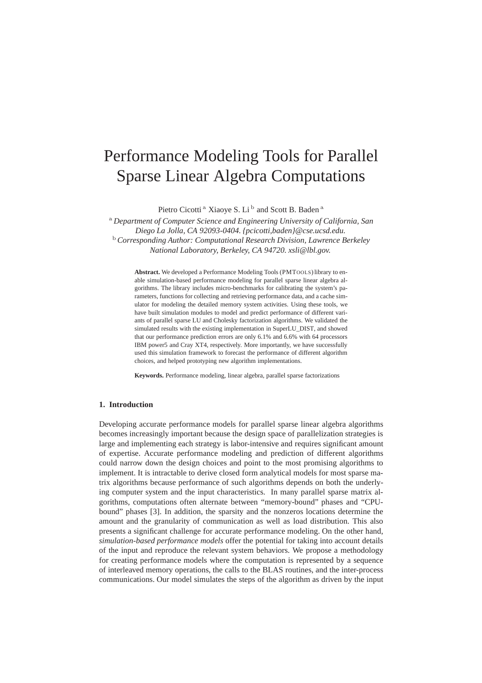# Performance Modeling Tools for Parallel Sparse Linear Algebra Computations

Pietro Cicotti<sup>a</sup> Xiaoye S. Li<sup>b</sup> and Scott B. Baden<sup>a</sup>

<sup>a</sup> *Department of Computer Science and Engineering University of California, San Diego La Jolla, CA 92093-0404. {pcicotti,baden}@cse.ucsd.edu.* <sup>b</sup> *Corresponding Author: Computational Research Division, Lawrence Berkeley National Laboratory, Berkeley, CA 94720. xsli@lbl.gov.*

**Abstract.** We developed a Performance Modeling Tools (PMTOOLS) library to enable simulation-based performance modeling for parallel sparse linear algebra algorithms. The library includes micro-benchmarks for calibrating the system's parameters, functions for collecting and retrieving performance data, and a cache simulator for modeling the detailed memory system activities. Using these tools, we have built simulation modules to model and predict performance of different variants of parallel sparse LU and Cholesky factorization algorithms. We validated the simulated results with the existing implementation in SuperLU\_DIST, and showed that our performance prediction errors are only 6.1% and 6.6% with 64 processors IBM power5 and Cray XT4, respectively. More importantly, we have successfully used this simulation framework to forecast the performance of different algorithm choices, and helped prototyping new algorithm implementations.

**Keywords.** Performance modeling, linear algebra, parallel sparse factorizations

## **1. Introduction**

Developing accurate performance models for parallel sparse linear algebra algorithms becomes increasingly important because the design space of parallelization strategies is large and implementing each strategy is labor-intensive and requires significant amount of expertise. Accurate performance modeling and prediction of different algorithms could narrow down the design choices and point to the most promising algorithms to implement. It is intractable to derive closed form analytical models for most sparse matrix algorithms because performance of such algorithms depends on both the underlying computer system and the input characteristics. In many parallel sparse matrix algorithms, computations often alternate between "memory-bound" phases and "CPUbound" phases [3]. In addition, the sparsity and the nonzeros locations determine the amount and the granularity of communication as well as load distribution. This also presents a significant challenge for accurate performance modeling. On the other hand, *simulation-based performance models* offer the potential for taking into account details of the input and reproduce the relevant system behaviors. We propose a methodology for creating performance models where the computation is represented by a sequence of interleaved memory operations, the calls to the BLAS routines, and the inter-process communications. Our model simulates the steps of the algorithm as driven by the input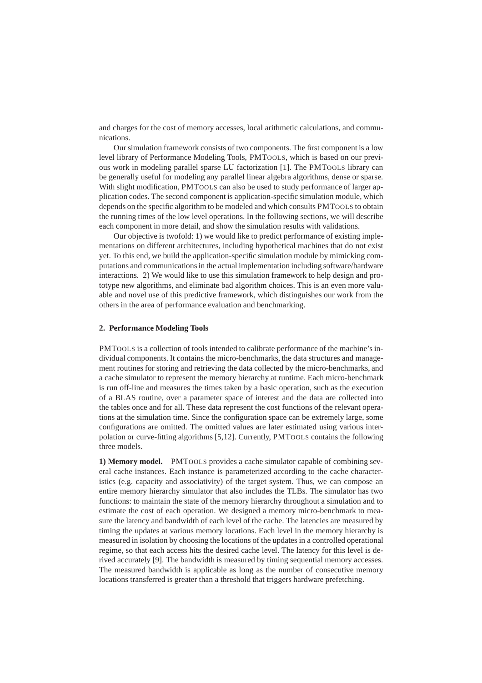and charges for the cost of memory accesses, local arithmetic calculations, and communications.

Our simulation framework consists of two components. The first component is a low level library of Performance Modeling Tools, PMTOOLS, which is based on our previous work in modeling parallel sparse LU factorization [1]. The PMTOOLS library can be generally useful for modeling any parallel linear algebra algorithms, dense or sparse. With slight modification, PMTOOLS can also be used to study performance of larger application codes. The second component is application-specific simulation module, which depends on the specific algorithm to be modeled and which consults PMTOOLS to obtain the running times of the low level operations. In the following sections, we will describe each component in more detail, and show the simulation results with validations.

Our objective is twofold: 1) we would like to predict performance of existing implementations on different architectures, including hypothetical machines that do not exist yet. To this end, we build the application-specific simulation module by mimicking computations and communications in the actual implementation including software/hardware interactions. 2) We would like to use this simulation framework to help design and prototype new algorithms, and eliminate bad algorithm choices. This is an even more valuable and novel use of this predictive framework, which distinguishes our work from the others in the area of performance evaluation and benchmarking.

## **2. Performance Modeling Tools**

PMTOOLS is a collection of tools intended to calibrate performance of the machine's individual components. It contains the micro-benchmarks, the data structures and management routines for storing and retrieving the data collected by the micro-benchmarks, and a cache simulator to represent the memory hierarchy at runtime. Each micro-benchmark is run off-line and measures the times taken by a basic operation, such as the execution of a BLAS routine, over a parameter space of interest and the data are collected into the tables once and for all. These data represent the cost functions of the relevant operations at the simulation time. Since the configuration space can be extremely large, some configurations are omitted. The omitted values are later estimated using various interpolation or curve-fitting algorithms [5,12]. Currently, PMTOOLS contains the following three models.

**1) Memory model.** PMTOOLS provides a cache simulator capable of combining several cache instances. Each instance is parameterized according to the cache characteristics (e.g. capacity and associativity) of the target system. Thus, we can compose an entire memory hierarchy simulator that also includes the TLBs. The simulator has two functions: to maintain the state of the memory hierarchy throughout a simulation and to estimate the cost of each operation. We designed a memory micro-benchmark to measure the latency and bandwidth of each level of the cache. The latencies are measured by timing the updates at various memory locations. Each level in the memory hierarchy is measured in isolation by choosing the locations of the updates in a controlled operational regime, so that each access hits the desired cache level. The latency for this level is derived accurately [9]. The bandwidth is measured by timing sequential memory accesses. The measured bandwidth is applicable as long as the number of consecutive memory locations transferred is greater than a threshold that triggers hardware prefetching.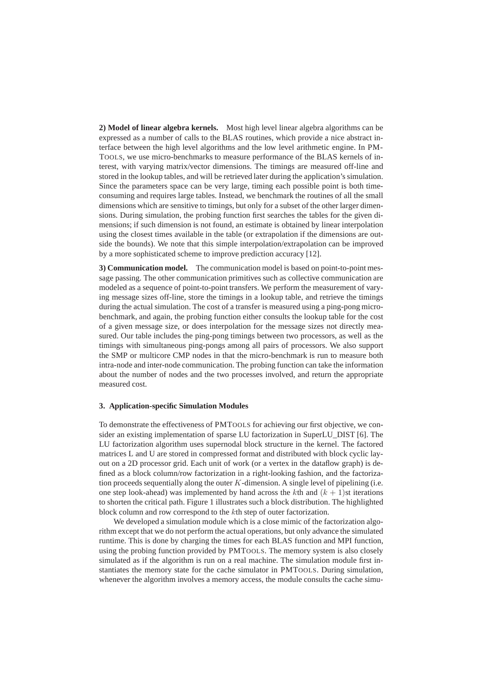**2) Model of linear algebra kernels.** Most high level linear algebra algorithms can be expressed as a number of calls to the BLAS routines, which provide a nice abstract interface between the high level algorithms and the low level arithmetic engine. In PM-TOOLS, we use micro-benchmarks to measure performance of the BLAS kernels of interest, with varying matrix/vector dimensions. The timings are measured off-line and stored in the lookup tables, and will be retrieved later during the application's simulation. Since the parameters space can be very large, timing each possible point is both timeconsuming and requires large tables. Instead, we benchmark the routines of all the small dimensions which are sensitive to timings, but only for a subset of the other larger dimensions. During simulation, the probing function first searches the tables for the given dimensions; if such dimension is not found, an estimate is obtained by linear interpolation using the closest times available in the table (or extrapolation if the dimensions are outside the bounds). We note that this simple interpolation/extrapolation can be improved by a more sophisticated scheme to improve prediction accuracy [12].

**3) Communication model.** The communication model is based on point-to-point message passing. The other communication primitives such as collective communication are modeled as a sequence of point-to-point transfers. We perform the measurement of varying message sizes off-line, store the timings in a lookup table, and retrieve the timings during the actual simulation. The cost of a transfer is measured using a ping-pong microbenchmark, and again, the probing function either consults the lookup table for the cost of a given message size, or does interpolation for the message sizes not directly measured. Our table includes the ping-pong timings between two processors, as well as the timings with simultaneous ping-pongs among all pairs of processors. We also support the SMP or multicore CMP nodes in that the micro-benchmark is run to measure both intra-node and inter-node communication. The probing function can take the information about the number of nodes and the two processes involved, and return the appropriate measured cost.

# **3. Application-specific Simulation Modules**

To demonstrate the effectiveness of PMTOOLS for achieving our first objective, we consider an existing implementation of sparse LU factorization in SuperLU\_DIST [6]. The LU factorization algorithm uses supernodal block structure in the kernel. The factored matrices L and U are stored in compressed format and distributed with block cyclic layout on a 2D processor grid. Each unit of work (or a vertex in the dataflow graph) is defined as a block column/row factorization in a right-looking fashion, and the factorization proceeds sequentially along the outer  $K$ -dimension. A single level of pipelining (i.e. one step look-ahead) was implemented by hand across the kth and  $(k + 1)$ st iterations to shorten the critical path. Figure 1 illustrates such a block distribution. The highlighted block column and row correspond to the kth step of outer factorization.

We developed a simulation module which is a close mimic of the factorization algorithm except that we do not perform the actual operations, but only advance the simulated runtime. This is done by charging the times for each BLAS function and MPI function, using the probing function provided by PMTOOLS. The memory system is also closely simulated as if the algorithm is run on a real machine. The simulation module first instantiates the memory state for the cache simulator in PMTOOLS. During simulation, whenever the algorithm involves a memory access, the module consults the cache simu-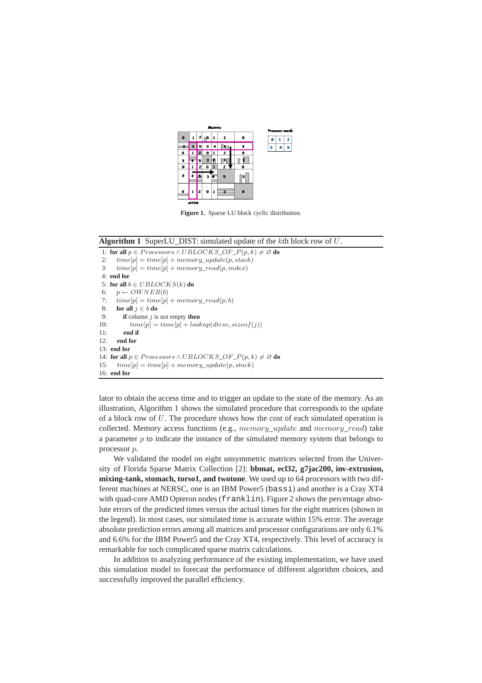

**Figure 1.** Sparse LU block cyclic distribution.

#### **Algorithm 1** SuperLU\_DIST: simulated update of the kth block row of U.

1: **for all**  $p \in Processors \land UBLOCALS\_OF\_P(p, k) \neq \emptyset$  **do** 2:  $time[p] = time[p] + memory\_update(p, stack)$ 3:  $time[p] = time[p] + memory\_read(p, index)$ 4: **end for** 5: **for all**  $b \in UBLOCKS(k)$  **do** 6:  $p \leftarrow OWNER(b)$ 7:  $time[p] = time[p] + memory\_read(p, b)$ 8: **for all** j ∈ b **do** 9: **if** column  $i$  is not empty **then** 10:  $time[p] = time[p] + lookup(dtrsv, sizeof(j))$ <br>11: **end if** end if 12: **end for** 13: **end for** 14: **for all**  $p \in Processors \land UBLOCALS\_OF\_P(p, k) \neq \emptyset$  **do** 15:  $time[p] = time[p] + memory\_update(p, stack)$ 16: **end for**

lator to obtain the access time and to trigger an update to the state of the memory. As an illustration, Algorithm 1 shows the simulated procedure that corresponds to the update of a block row of  $U$ . The procedure shows how the cost of each simulated operation is collected. Memory access functions (e.g., memory\_update and memory\_read) take a parameter  $p$  to indicate the instance of the simulated memory system that belongs to processor p.

We validated the model on eight unsymmetric matrices selected from the University of Florida Sparse Matrix Collection [2]: **bbmat, ecl32, g7jac200, inv-extrusion, mixing-tank, stomach, torso1, and twotone**. We used up to 64 processors with two different machines at NERSC, one is an IBM Power5 (bassi) and another is a Cray XT4 with quad-core AMD Opteron nodes (franklin). Figure 2 shows the percentage absolute errors of the predicted times versus the actual times for the eight matrices (shown in the legend). In most cases, our simulated time is accurate within 15% error. The average absolute prediction errors among all matrices and processor configurations are only 6.1% and 6.6% for the IBM Power5 and the Cray XT4, respectively. This level of accuracy is remarkable for such complicated sparse matrix calculations.

In addition to analyzing performance of the existing implementation, we have used this simulation model to forecast the performance of different algorithm choices, and successfully improved the parallel efficiency.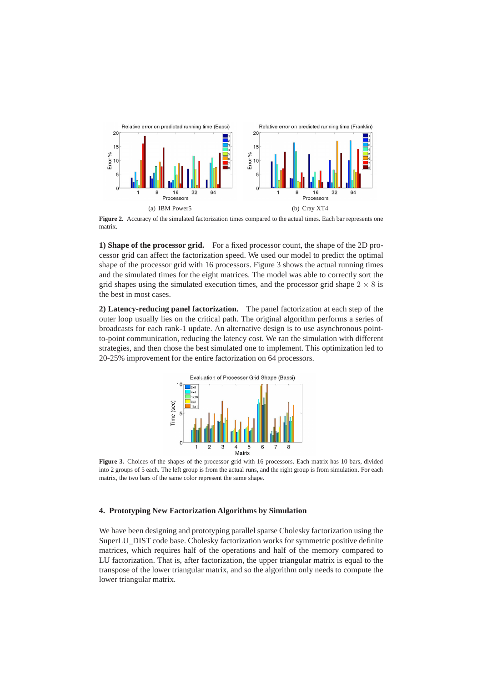

**Figure 2.** Accuracy of the simulated factorization times compared to the actual times. Each bar represents one matrix.

**1) Shape of the processor grid.** For a fixed processor count, the shape of the 2D processor grid can affect the factorization speed. We used our model to predict the optimal shape of the processor grid with 16 processors. Figure 3 shows the actual running times and the simulated times for the eight matrices. The model was able to correctly sort the grid shapes using the simulated execution times, and the processor grid shape  $2 \times 8$  is the best in most cases.

**2) Latency-reducing panel factorization.** The panel factorization at each step of the outer loop usually lies on the critical path. The original algorithm performs a series of broadcasts for each rank-1 update. An alternative design is to use asynchronous pointto-point communication, reducing the latency cost. We ran the simulation with different strategies, and then chose the best simulated one to implement. This optimization led to 20-25% improvement for the entire factorization on 64 processors.



**Figure 3.** Choices of the shapes of the processor grid with 16 processors. Each matrix has 10 bars, divided into 2 groups of 5 each. The left group is from the actual runs, and the right group is from simulation. For each matrix, the two bars of the same color represent the same shape.

# **4. Prototyping New Factorization Algorithms by Simulation**

We have been designing and prototyping parallel sparse Cholesky factorization using the SuperLU\_DIST code base. Cholesky factorization works for symmetric positive definite matrices, which requires half of the operations and half of the memory compared to LU factorization. That is, after factorization, the upper triangular matrix is equal to the transpose of the lower triangular matrix, and so the algorithm only needs to compute the lower triangular matrix.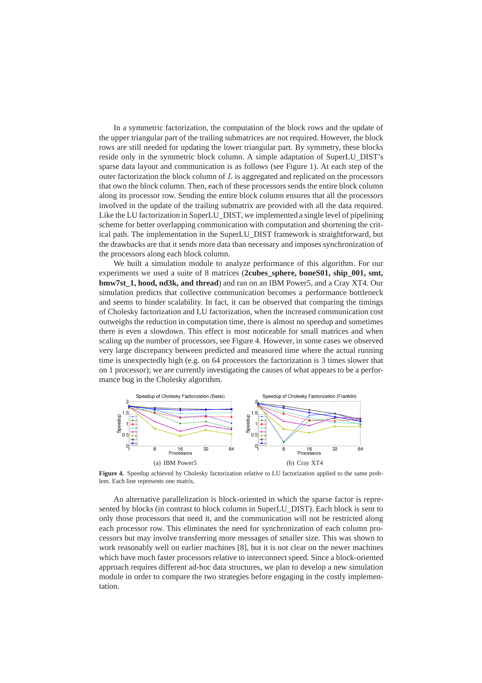In a symmetric factorization, the computation of the block rows and the update of the upper triangular part of the trailing submatrices are not required. However, the block rows are still needed for updating the lower triangular part. By symmetry, these blocks reside only in the symmetric block column. A simple adaptation of SuperLU\_DIST's sparse data layout and communication is as follows (see Figure 1). At each step of the outer factorization the block column of  $L$  is aggregated and replicated on the processors that own the block column. Then, each of these processors sends the entire block column along its processor row. Sending the entire block column ensures that all the processors involved in the update of the trailing submatrix are provided with all the data required. Like the LU factorization in SuperLU\_DIST, we implemented a single level of pipelining scheme for better overlapping communication with computation and shortening the critical path. The implementation in the SuperLU\_DIST framework is straightforward, but the drawbacks are that it sends more data than necessary and imposes synchronization of the processors along each block column.

We built a simulation module to analyze performance of this algorithm. For our experiments we used a suite of 8 matrices (**2cubes\_sphere, boneS01, ship\_001, smt, bmw7st\_1, hood, nd3k, and thread**) and ran on an IBM Power5, and a Cray XT4. Our simulation predicts that collective communication becomes a performance bottleneck and seems to hinder scalability. In fact, it can be observed that comparing the timings of Cholesky factorization and LU factorization, when the increased communication cost outweighs the reduction in computation time, there is almost no speedup and sometimes there is even a slowdown. This effect is most noticeable for small matrices and when scaling up the number of processors, see Figure 4. However, in some cases we observed very large discrepancy between predicted and measured time where the actual running time is unexpectedly high (e.g. on 64 processors the factorization is 3 times slower that on 1 processor); we are currently investigating the causes of what appears to be a performance bug in the Cholesky algorithm.



**Figure 4.** Speedup achieved by Cholesky factorization relative to LU factorization applied to the same problem. Each line represents one matrix.

An alternative parallelization is block-oriented in which the sparse factor is represented by blocks (in contrast to block column in SuperLU\_DIST). Each block is sent to only those processors that need it, and the communication will not be restricted along each processor row. This eliminates the need for synchronization of each column processors but may involve transferring more messages of smaller size. This was shown to work reasonably well on earlier machines [8], but it is not clear on the newer machines which have much faster processors relative to interconnect speed. Since a block-oriented approach requires different ad-hoc data structures, we plan to develop a new simulation module in order to compare the two strategies before engaging in the costly implementation.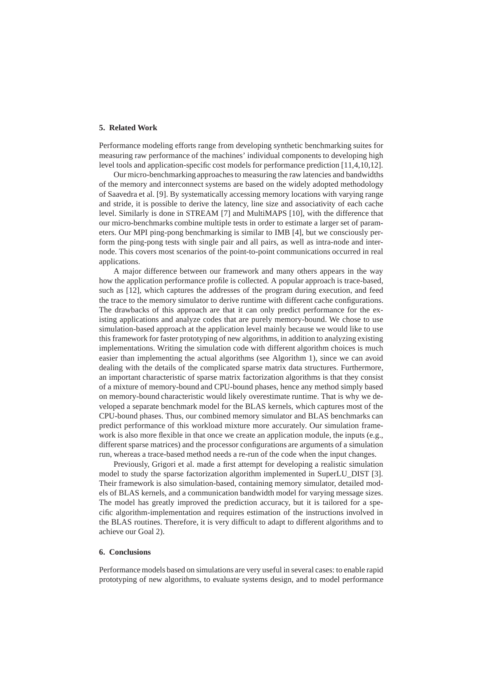# **5. Related Work**

Performance modeling efforts range from developing synthetic benchmarking suites for measuring raw performance of the machines' individual components to developing high level tools and application-specific cost models for performance prediction [11,4,10,12].

Our micro-benchmarking approaches to measuring the raw latencies and bandwidths of the memory and interconnect systems are based on the widely adopted methodology of Saavedra et al. [9]. By systematically accessing memory locations with varying range and stride, it is possible to derive the latency, line size and associativity of each cache level. Similarly is done in STREAM [7] and MultiMAPS [10], with the difference that our micro-benchmarks combine multiple tests in order to estimate a larger set of parameters. Our MPI ping-pong benchmarking is similar to IMB [4], but we consciously perform the ping-pong tests with single pair and all pairs, as well as intra-node and internode. This covers most scenarios of the point-to-point communications occurred in real applications.

A major difference between our framework and many others appears in the way how the application performance profile is collected. A popular approach is trace-based, such as [12], which captures the addresses of the program during execution, and feed the trace to the memory simulator to derive runtime with different cache configurations. The drawbacks of this approach are that it can only predict performance for the existing applications and analyze codes that are purely memory-bound. We chose to use simulation-based approach at the application level mainly because we would like to use this framework for faster prototyping of new algorithms, in addition to analyzing existing implementations. Writing the simulation code with different algorithm choices is much easier than implementing the actual algorithms (see Algorithm 1), since we can avoid dealing with the details of the complicated sparse matrix data structures. Furthermore, an important characteristic of sparse matrix factorization algorithms is that they consist of a mixture of memory-bound and CPU-bound phases, hence any method simply based on memory-bound characteristic would likely overestimate runtime. That is why we developed a separate benchmark model for the BLAS kernels, which captures most of the CPU-bound phases. Thus, our combined memory simulator and BLAS benchmarks can predict performance of this workload mixture more accurately. Our simulation framework is also more flexible in that once we create an application module, the inputs (e.g., different sparse matrices) and the processor configurations are arguments of a simulation run, whereas a trace-based method needs a re-run of the code when the input changes.

Previously, Grigori et al. made a first attempt for developing a realistic simulation model to study the sparse factorization algorithm implemented in SuperLU\_DIST [3]. Their framework is also simulation-based, containing memory simulator, detailed models of BLAS kernels, and a communication bandwidth model for varying message sizes. The model has greatly improved the prediction accuracy, but it is tailored for a specific algorithm-implementation and requires estimation of the instructions involved in the BLAS routines. Therefore, it is very difficult to adapt to different algorithms and to achieve our Goal 2).

## **6. Conclusions**

Performance models based on simulations are very useful in several cases: to enable rapid prototyping of new algorithms, to evaluate systems design, and to model performance